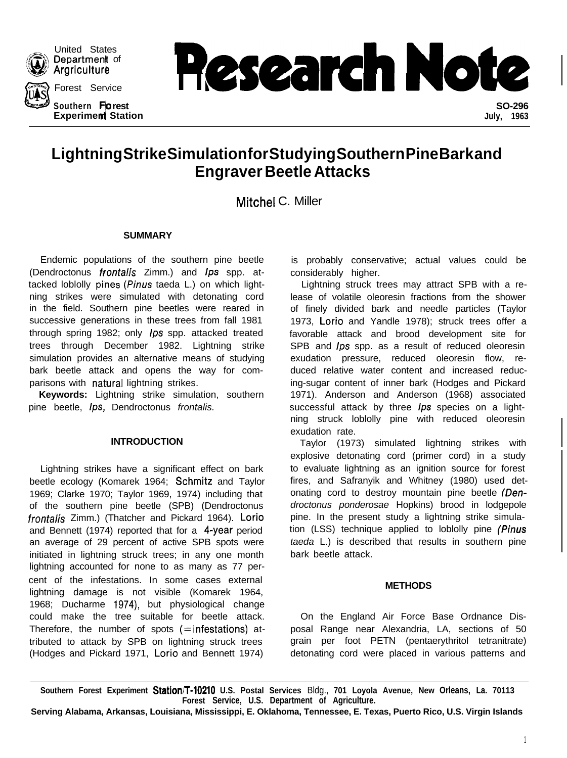

United States Department of Argriculture

Southern Forest

Department of<br>Argriculture<br>Forest Service **https://www.forest.com/department** of **?" Experimen Station July, 1963 rest SO-296**

# **Lightning Strike Simulation for Studying Southern Pine Bark and Engraver Beetle Attacks**

Mitchel C. Miller

#### **SUMMARY**

Endemic populations of the southern pine beetle (Dendroctonus *frontalis* Zimm.) and Ips spp. attacked loblolly pines (Pinus taeda L.) on which lightning strikes were simulated with detonating cord in the field. Southern pine beetles were reared in successive generations in these trees from fall 1981 through spring 1982; only *Ips* spp. attacked treated trees through December 1982. Lightning strike simulation provides an alternative means of studying bark beetle attack and opens the way for comparisons with natural lightning strikes.

**Keywords:** Lightning strike simulation, southern pine beetle, Ips, Dendroctonus *frontalis.*

## **INTRODUCTION**

Lightning strikes have a significant effect on bark beetle ecology (Komarek 1964; Schmitz and Taylor 1969; Clarke 1970; Taylor 1969, 1974) including that of the southern pine beetle (SPB) (Dendroctonus *frontalis* Zimm.) (Thatcher and Pickard 1964). Lorio and Bennett (1974) reported that for a 4-year period an average of 29 percent of active SPB spots were initiated in lightning struck trees; in any one month lightning accounted for none to as many as 77 percent of the infestations. In some cases external lightning damage is not visible (Komarek 1964, 1968; Ducharme 1974), but physiological change could make the tree suitable for beetle attack. Therefore, the number of spots  $(=$  infestations) attributed to attack by SPB on lightning struck trees (Hodges and Pickard 1971, Lorio and Bennett 1974)

is probably conservative; actual values could be considerably higher.

Lightning struck trees may attract SPB with a release of volatile oleoresin fractions from the shower of finely divided bark and needle particles (Taylor 1973, Lorio and Yandle 1978); struck trees offer a favorable attack and brood development site for SPB and *Ips* spp. as a result of reduced oleoresin exudation pressure, reduced oleoresin flow, reduced relative water content and increased reducing-sugar content of inner bark (Hodges and Pickard 1971). Anderson and Anderson (1968) associated successful attack by three *Ips* species on a lightning struck loblolly pine with reduced oleoresin exudation rate.

Taylor (1973) simulated lightning strikes with explosive detonating cord (primer cord) in a study to evaluate lightning as an ignition source for forest fires, and Safranyik and Whitney (1980) used detonating cord to destroy mountain pine beetle *(Dendroctonus ponderosae* Hopkins) brood in lodgepole pine. In the present study a lightning strike simulation (LSS) technique applied to loblolly pine *(Pinus taeda* L.) is described that results in southern pine bark beetle attack.

## **METHODS**

On the England Air Force Base Ordnance Disposal Range near Alexandria, LA, sections of 50 grain per foot PETN (pentaerythritol tetranitrate) detonating cord were placed in various patterns and

**Southern Forest Experiment Stationfl-10210 U.S. Postal Services** Bldg., **701 Loyola Avenue, New Orleans, La. 70113 Forest Service, U.S. Department of Agriculture.**

**Serving Alabama, Arkansas, Louisiana, Mississippi, E. Oklahoma, Tennessee, E. Texas, Puerto Rico, U.S. Virgin Islands**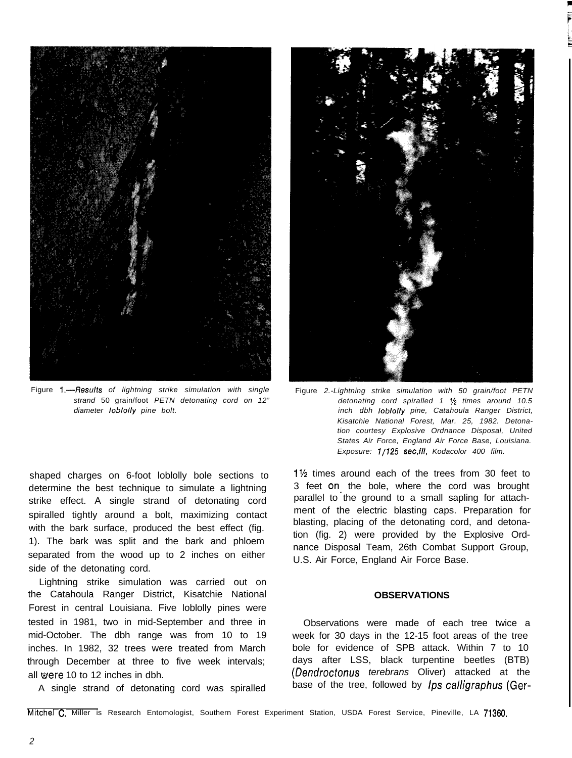

Figure l.-Results *of lightning strike simulation with single strand* 50 grain/foot *PETN detonating cord on 12" diameter lob/o//y pine bolt.*

shaped charges on 6-foot loblolly bole sections to determine the best technique to simulate a lightning strike effect. A single strand of detonating cord spiralled tightly around a bolt, maximizing contact with the bark surface, produced the best effect (fig. 1). The bark was split and the bark and phloem separated from the wood up to 2 inches on either side of the detonating cord.

Lightning strike simulation was carried out on the Catahoula Ranger District, Kisatchie National Forest in central Louisiana. Five loblolly pines were tested in 1981, two in mid-September and three in mid-October. The dbh range was from 10 to 19 inches. In 1982, 32 trees were treated from March through December at three to five week intervals; all were 10 to 12 inches in dbh.

A single strand of detonating cord was spiralled



Figure *2.-Lightning strike simulation with 50 grain/foot PETN detonating cord spiralled 1 Vz times around 10.5 inch dbh lob/o//y pine, Catahoula Ranger District, Kisatchie National Forest, Mar. 25, 1982. Detonation courtesy Explosive Ordnance Disposal, United States Air Force, England Air Force Base, Louisiana. Exposure: l/125 sec,fll, Kodacolor 400 film.*

1% times around each of the trees from 30 feet to 3 feet on- the bole, where the cord was brought parallel to the ground to a small sapling for attachment of the electric blasting caps. Preparation for blasting, placing of the detonating cord, and detonation (fig. 2) were provided by the Explosive Ordnance Disposal Team, 26th Combat Support Group, U.S. Air Force, England Air Force Base.

#### **OBSERVATIONS**

Observations were made of each tree twice a week for 30 days in the 12-15 foot areas of the tree bole for evidence of SPB attack. Within 7 to 10 days after LSS, black turpentine beetles (BTB) (Dendroctonus *terebrans* Oliver) attacked at the base of the tree, followed by *Ips calligraphus* (Ger-

Mitchel C. Miller is Research Entomologist, Southern Forest Experiment Station, USDA Forest Service, Pineville, LA 71360.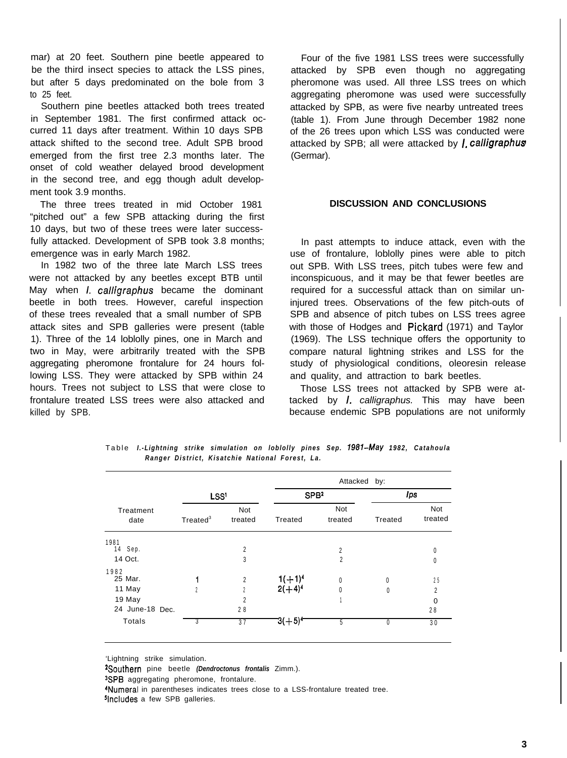mar) at 20 feet. Southern pine beetle appeared to be the third insect species to attack the LSS pines, but after 5 days predominated on the bole from 3 to 25 feet.

Southern pine beetles attacked both trees treated in September 1981. The first confirmed attack occurred 11 days after treatment. Within 10 days SPB attack shifted to the second tree. Adult SPB brood emerged from the first tree 2.3 months later. The onset of cold weather delayed brood development in the second tree, and egg though adult development took 3.9 months.

The three trees treated in mid October 1981 "pitched out" a few SPB attacking during the first 10 days, but two of these trees were later successfully attacked. Development of SPB took 3.8 months; emergence was in early March 1982.

In 1982 two of the three late March LSS trees were not attacked by any beetles except BTB until May when *I. calligraphus* became the dominant beetle in both trees. However, careful inspection of these trees revealed that a small number of SPB attack sites and SPB galleries were present (table 1). Three of the 14 loblolly pines, one in March and two in May, were arbitrarily treated with the SPB aggregating pheromone frontalure for 24 hours following LSS. They were attacked by SPB within 24 hours. Trees not subject to LSS that were close to frontalure treated LSS trees were also attacked and killed by SPB.

Four of the five 1981 LSS trees were successfully attacked by SPB even though no aggregating pheromone was used. All three LSS trees on which aggregating pheromone was used were successfully attacked by SPB, as were five nearby untreated trees (table 1). From June through December 1982 none of the 26 trees upon which LSS was conducted were attacked by SPB; all were attacked by *1. calligraphua* (Germar).

#### **DISCUSSION AND CONCLUSIONS**

In past attempts to induce attack, even with the use of frontalure, loblolly pines were able to pitch out SPB. With LSS trees, pitch tubes were few and inconspicuous, and it may be that fewer beetles are required for a successful attack than on similar uninjured trees. Observations of the few pitch-outs of SPB and absence of pitch tubes on LSS trees agree with those of Hodges and Pickard (1971) and Taylor (1969). The LSS technique offers the opportunity to compare natural lightning strikes and LSS for the study of physiological conditions, oleoresin release and quality, and attraction to bark beetles.

Those LSS trees not attacked by SPB were attacked by *1. calligraphus.* This may have been because endemic SPB populations are not uniformly

|                   |                      |                |                             | Attacked by:   |              |                |  |
|-------------------|----------------------|----------------|-----------------------------|----------------|--------------|----------------|--|
|                   | LSS <sup>1</sup>     |                | SP <sub>B<sup>2</sup></sub> |                | Ips          |                |  |
| Treatment<br>date | Treated <sup>3</sup> | Not<br>treated | Treated                     | Not<br>treated | Treated      | Not<br>treated |  |
| 1981              |                      |                |                             |                |              |                |  |
| 14 Sep.           |                      | 2              |                             | 2              |              | 0              |  |
| 14 Oct.           |                      | 3              |                             | $\overline{c}$ |              | 0              |  |
| 1982              |                      |                |                             |                |              |                |  |
| 25 Mar.           |                      | 2              | $1(+1)^4$                   | 0              | 0            | 25             |  |
| 11 May            | <sup>2</sup>         | 2              | $2(+4)^4$                   | $\mathbf{0}$   | 0            | 2              |  |
| 19 May            |                      | 2              |                             |                |              | $\Omega$       |  |
| 24 June-18 Dec.   |                      | 28             |                             |                |              | 28             |  |
| Totals            |                      | 37             | $3(+5)^4$                   | 5              | $\mathbf{0}$ | 30             |  |
|                   |                      |                |                             |                |              |                |  |

Table *I.-Lightning strike simulation on loblolly pines Sep. 1981-May 1982, Catahoula Ranger District, Kisatchie National Forest, La.*

'Lightning strike simulation.

3SPB aggregating pheromone, frontalure.

ZSouthern pine beetle *(Dendroctonus frontalis* Zimm.).

<sup>4</sup>Numeral in parentheses indicates trees close to a LSS-frontalure treated tree. <sup>5</sup>Includes a few SPB galleries.